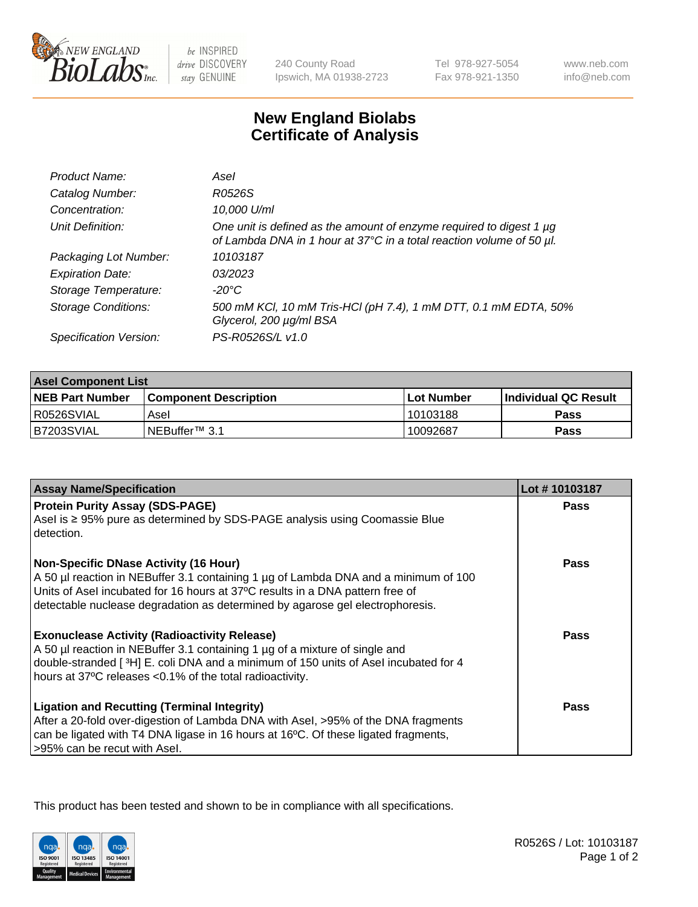

 $be$  INSPIRED drive DISCOVERY stay GENUINE

240 County Road Ipswich, MA 01938-2723 Tel 978-927-5054 Fax 978-921-1350

www.neb.com info@neb.com

## **New England Biolabs Certificate of Analysis**

| Product Name:              | Asel                                                                                                                                        |
|----------------------------|---------------------------------------------------------------------------------------------------------------------------------------------|
| Catalog Number:            | R0526S                                                                                                                                      |
| Concentration:             | 10,000 U/ml                                                                                                                                 |
| Unit Definition:           | One unit is defined as the amount of enzyme required to digest 1 µg<br>of Lambda DNA in 1 hour at 37°C in a total reaction volume of 50 µl. |
| Packaging Lot Number:      | 10103187                                                                                                                                    |
| <b>Expiration Date:</b>    | 03/2023                                                                                                                                     |
| Storage Temperature:       | $-20^{\circ}$ C                                                                                                                             |
| <b>Storage Conditions:</b> | 500 mM KCI, 10 mM Tris-HCI (pH 7.4), 1 mM DTT, 0.1 mM EDTA, 50%<br>Glycerol, 200 µg/ml BSA                                                  |
| Specification Version:     | PS-R0526S/L v1.0                                                                                                                            |

| <b>Asel Component List</b> |                         |              |                             |  |
|----------------------------|-------------------------|--------------|-----------------------------|--|
| <b>NEB Part Number</b>     | l Component Description | l Lot Number | <b>Individual QC Result</b> |  |
| I R0526SVIAL               | Asel                    | 10103188     | Pass                        |  |
| IB7203SVIAL                | INEBuffer™ 3.1          | 10092687     | Pass                        |  |

| <b>Assay Name/Specification</b>                                                                                                                                                                                                                                                                       | Lot #10103187 |
|-------------------------------------------------------------------------------------------------------------------------------------------------------------------------------------------------------------------------------------------------------------------------------------------------------|---------------|
| <b>Protein Purity Assay (SDS-PAGE)</b><br>Asel is ≥ 95% pure as determined by SDS-PAGE analysis using Coomassie Blue<br>detection.                                                                                                                                                                    | <b>Pass</b>   |
| <b>Non-Specific DNase Activity (16 Hour)</b><br>A 50 µl reaction in NEBuffer 3.1 containing 1 µg of Lambda DNA and a minimum of 100<br>Units of Asel incubated for 16 hours at 37°C results in a DNA pattern free of<br>detectable nuclease degradation as determined by agarose gel electrophoresis. | Pass          |
| <b>Exonuclease Activity (Radioactivity Release)</b><br>A 50 µl reaction in NEBuffer 3.1 containing 1 µg of a mixture of single and<br>double-stranded [3H] E. coli DNA and a minimum of 150 units of Asel incubated for 4<br>hours at 37°C releases <0.1% of the total radioactivity.                 | Pass          |
| <b>Ligation and Recutting (Terminal Integrity)</b><br>After a 20-fold over-digestion of Lambda DNA with Asel, >95% of the DNA fragments<br>can be ligated with T4 DNA ligase in 16 hours at 16°C. Of these ligated fragments,<br>>95% can be recut with Asel.                                         | Pass          |

This product has been tested and shown to be in compliance with all specifications.